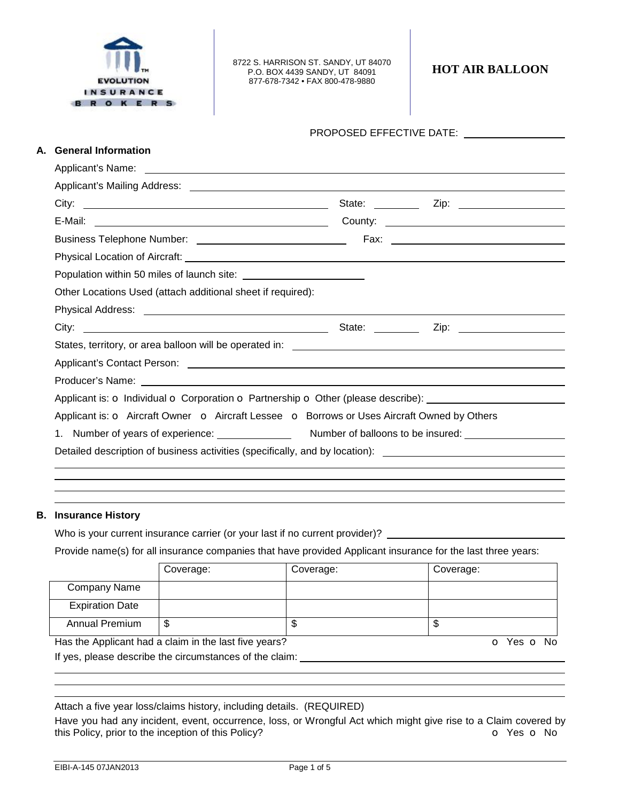

8722 S. HARRISON ST. SANDY, UT 84070 P.O. BOX 4439 SANDY, UT 84091 877-678-7342 • FAX 800-478-9880

**HOT AIR BALLOON** 

| А. | <b>General Information</b>                                                                                                                                                                                                     |  |  |  |  |  |
|----|--------------------------------------------------------------------------------------------------------------------------------------------------------------------------------------------------------------------------------|--|--|--|--|--|
|    |                                                                                                                                                                                                                                |  |  |  |  |  |
|    |                                                                                                                                                                                                                                |  |  |  |  |  |
|    |                                                                                                                                                                                                                                |  |  |  |  |  |
|    |                                                                                                                                                                                                                                |  |  |  |  |  |
|    |                                                                                                                                                                                                                                |  |  |  |  |  |
|    |                                                                                                                                                                                                                                |  |  |  |  |  |
|    |                                                                                                                                                                                                                                |  |  |  |  |  |
|    | Other Locations Used (attach additional sheet if required):                                                                                                                                                                    |  |  |  |  |  |
|    | Physical Address: the control of the control of the control of the control of the control of the control of the control of the control of the control of the control of the control of the control of the control of the contr |  |  |  |  |  |
|    |                                                                                                                                                                                                                                |  |  |  |  |  |
|    |                                                                                                                                                                                                                                |  |  |  |  |  |
|    |                                                                                                                                                                                                                                |  |  |  |  |  |
|    |                                                                                                                                                                                                                                |  |  |  |  |  |
|    |                                                                                                                                                                                                                                |  |  |  |  |  |
|    | Applicant is: O Aircraft Owner O Aircraft Lessee O Borrows or Uses Aircraft Owned by Others                                                                                                                                    |  |  |  |  |  |
|    |                                                                                                                                                                                                                                |  |  |  |  |  |
|    | Detailed description of business activities (specifically, and by location): ________________________________                                                                                                                  |  |  |  |  |  |

## **B. Insurance History**

Who is your current insurance carrier (or your last if no current provider)?

Provide name(s) for all insurance companies that have provided Applicant insurance for the last three years:

|                        | Coverage: | Coverage: | Coverage: |
|------------------------|-----------|-----------|-----------|
| Company Name           |           |           |           |
| <b>Expiration Date</b> |           |           |           |
| Annual Premium         | J         | w         | \$        |

Has the Applicant had a claim in the last five years? **o** Yes o No If yes, please describe the circumstances of the claim:

Attach a five year loss/claims history, including details. (REQUIRED)

Have you had any incident, event, occurrence, loss, or Wrongful Act which might give rise to a Claim covered by this Policy, prior to the inception of this Policy? **o C** Yes **o** No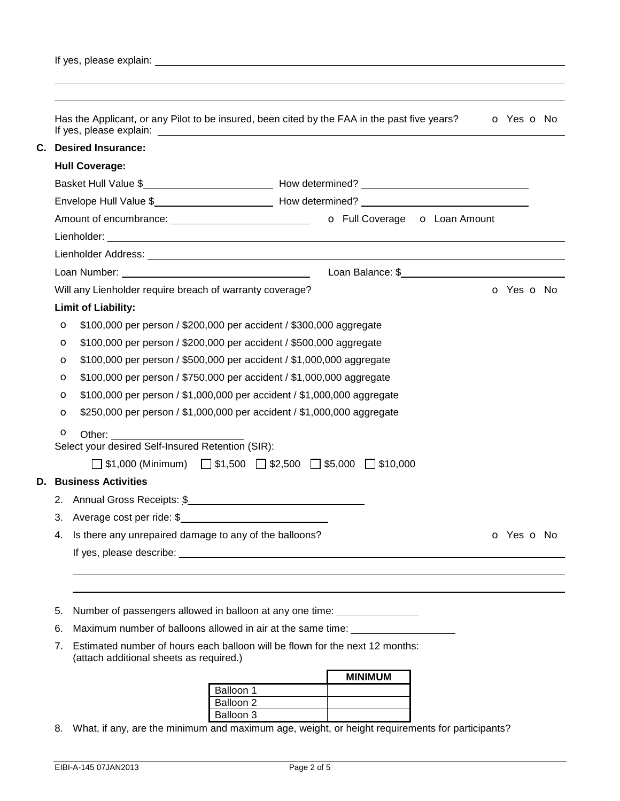|                             | <b>Desired Insurance:</b>                                                                                                                                                                                                      |                                                                                                                                   |  |  |  |  |  |  |  |
|-----------------------------|--------------------------------------------------------------------------------------------------------------------------------------------------------------------------------------------------------------------------------|-----------------------------------------------------------------------------------------------------------------------------------|--|--|--|--|--|--|--|
| С.<br><b>Hull Coverage:</b> |                                                                                                                                                                                                                                |                                                                                                                                   |  |  |  |  |  |  |  |
|                             |                                                                                                                                                                                                                                |                                                                                                                                   |  |  |  |  |  |  |  |
|                             |                                                                                                                                                                                                                                |                                                                                                                                   |  |  |  |  |  |  |  |
|                             |                                                                                                                                                                                                                                |                                                                                                                                   |  |  |  |  |  |  |  |
|                             |                                                                                                                                                                                                                                |                                                                                                                                   |  |  |  |  |  |  |  |
|                             |                                                                                                                                                                                                                                |                                                                                                                                   |  |  |  |  |  |  |  |
|                             |                                                                                                                                                                                                                                | Loan Balance: \$<br>1999 - The Manuel Allen, 1999 - The Manuel Allen, 1999 - The Manuel Allen, 1999 - The Manuel Allen, 1999 - Th |  |  |  |  |  |  |  |
|                             | Will any Lienholder require breach of warranty coverage?                                                                                                                                                                       | O Yes O No                                                                                                                        |  |  |  |  |  |  |  |
|                             | <b>Limit of Liability:</b>                                                                                                                                                                                                     |                                                                                                                                   |  |  |  |  |  |  |  |
| $\mathbf o$                 | \$100,000 per person / \$200,000 per accident / \$300,000 aggregate                                                                                                                                                            |                                                                                                                                   |  |  |  |  |  |  |  |
| $\circ$                     | \$100,000 per person / \$200,000 per accident / \$500,000 aggregate                                                                                                                                                            |                                                                                                                                   |  |  |  |  |  |  |  |
| $\circ$                     | \$100,000 per person / \$500,000 per accident / \$1,000,000 aggregate                                                                                                                                                          |                                                                                                                                   |  |  |  |  |  |  |  |
| $\circ$                     | \$100,000 per person / \$750,000 per accident / \$1,000,000 aggregate                                                                                                                                                          |                                                                                                                                   |  |  |  |  |  |  |  |
| $\circ$                     | \$100,000 per person / \$1,000,000 per accident / \$1,000,000 aggregate                                                                                                                                                        |                                                                                                                                   |  |  |  |  |  |  |  |
| $\circ$                     | \$250,000 per person / \$1,000,000 per accident / \$1,000,000 aggregate                                                                                                                                                        |                                                                                                                                   |  |  |  |  |  |  |  |
| O                           | Other:                                                                                                                                                                                                                         |                                                                                                                                   |  |  |  |  |  |  |  |
|                             | Select your desired Self-Insured Retention (SIR):                                                                                                                                                                              |                                                                                                                                   |  |  |  |  |  |  |  |
|                             | $\Box$ \$1,000 (Minimum) $\Box$ \$1,500 $\Box$ \$2,500 $\Box$ \$5,000 $\Box$ \$10,000                                                                                                                                          |                                                                                                                                   |  |  |  |  |  |  |  |
|                             | <b>D. Business Activities</b>                                                                                                                                                                                                  |                                                                                                                                   |  |  |  |  |  |  |  |
| 2.                          | Annual Gross Receipts: \$                                                                                                                                                                                                      |                                                                                                                                   |  |  |  |  |  |  |  |
|                             | 3. Average cost per ride: \$                                                                                                                                                                                                   |                                                                                                                                   |  |  |  |  |  |  |  |
|                             | 4. Is there any unrepaired damage to any of the balloons?                                                                                                                                                                      | o Yes o No                                                                                                                        |  |  |  |  |  |  |  |
|                             | If yes, please describe: in the same state of the state of the state of the state of the state of the state of the state of the state of the state of the state of the state of the state of the state of the state of the sta |                                                                                                                                   |  |  |  |  |  |  |  |
|                             |                                                                                                                                                                                                                                |                                                                                                                                   |  |  |  |  |  |  |  |
|                             |                                                                                                                                                                                                                                |                                                                                                                                   |  |  |  |  |  |  |  |
| 5.                          | Number of passengers allowed in balloon at any one time: _________________                                                                                                                                                     |                                                                                                                                   |  |  |  |  |  |  |  |
| 6.                          | Maximum number of balloons allowed in air at the same time: ______________                                                                                                                                                     |                                                                                                                                   |  |  |  |  |  |  |  |
|                             | Estimated number of hours each balloon will be flown for the next 12 months:<br>(attach additional sheets as required.)                                                                                                        |                                                                                                                                   |  |  |  |  |  |  |  |
| 7.                          |                                                                                                                                                                                                                                |                                                                                                                                   |  |  |  |  |  |  |  |
|                             | Balloon 1                                                                                                                                                                                                                      | <b>MINIMUM</b>                                                                                                                    |  |  |  |  |  |  |  |

8. What, if any, are the minimum and maximum age, weight, or height requirements for participants?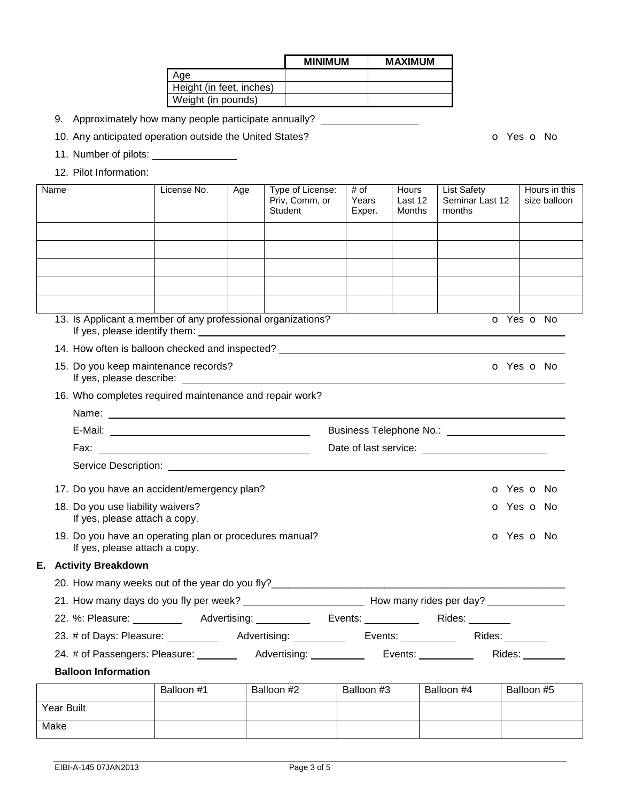|                          | <b>MINIMUM</b> | <b>MAXIMUM</b> |
|--------------------------|----------------|----------------|
| Age                      |                |                |
| Height (in feet, inches) |                |                |
| Weight (in pounds)       |                |                |

- 9. Approximately how many people participate annually?
- 10. Any anticipated operation outside the United States? **o COV** on the State of No

- 11. Number of pilots:
- 12. Pilot Information:

| Name                                                                                     | License No.                       | Age | Type of License:<br>Priv, Comm, or<br>Student | # of<br>Years<br>Exper. | Hours<br>Last 12<br>Months | <b>List Safety</b><br>Seminar Last 12<br>months |  | Hours in this<br>size balloon |  |
|------------------------------------------------------------------------------------------|-----------------------------------|-----|-----------------------------------------------|-------------------------|----------------------------|-------------------------------------------------|--|-------------------------------|--|
|                                                                                          |                                   |     |                                               |                         |                            |                                                 |  |                               |  |
|                                                                                          |                                   |     |                                               |                         |                            |                                                 |  |                               |  |
|                                                                                          |                                   |     |                                               |                         |                            |                                                 |  |                               |  |
|                                                                                          |                                   |     |                                               |                         |                            |                                                 |  |                               |  |
|                                                                                          |                                   |     |                                               |                         |                            |                                                 |  |                               |  |
| 13. Is Applicant a member of any professional organizations?                             |                                   |     |                                               |                         |                            |                                                 |  | o Yes o No                    |  |
| 14. How often is balloon checked and inspected? _________________________________        |                                   |     |                                               |                         |                            |                                                 |  |                               |  |
| 15. Do you keep maintenance records?                                                     |                                   |     |                                               |                         |                            |                                                 |  | o Yes o No                    |  |
| 16. Who completes required maintenance and repair work?                                  |                                   |     |                                               |                         |                            |                                                 |  |                               |  |
|                                                                                          |                                   |     |                                               |                         |                            |                                                 |  |                               |  |
|                                                                                          |                                   |     |                                               |                         |                            |                                                 |  |                               |  |
|                                                                                          |                                   |     |                                               |                         |                            |                                                 |  |                               |  |
|                                                                                          |                                   |     |                                               |                         |                            |                                                 |  |                               |  |
| 17. Do you have an accident/emergency plan?                                              |                                   |     |                                               |                         |                            |                                                 |  | o Yes o No                    |  |
| 18. Do you use liability waivers?<br>If yes, please attach a copy.                       |                                   |     |                                               |                         |                            |                                                 |  | o Yes o No                    |  |
| 19. Do you have an operating plan or procedures manual?<br>If yes, please attach a copy. |                                   |     |                                               |                         |                            |                                                 |  | O Yes O No                    |  |
| <b>E.</b> Activity Breakdown                                                             |                                   |     |                                               |                         |                            |                                                 |  |                               |  |
| 20. How many weeks out of the year do you fly?                                           |                                   |     |                                               |                         |                            |                                                 |  |                               |  |
|                                                                                          |                                   |     |                                               |                         |                            |                                                 |  |                               |  |
| 22. %: Pleasure: ____________ Advertising: _________                                     |                                   |     |                                               |                         |                            | Events: Rides: Rides:                           |  |                               |  |
| 23. # of Days: Pleasure:                                                                 | the control of the control of the |     | Advertising:                                  | Events:                 |                            | Rides:                                          |  |                               |  |
| 24. # of Passengers: Pleasure: 24. # of Passengers: Pleasure:                            |                                   |     | Advertising: <u>______________</u>            |                         |                            | Events: $\sqrt{2\pi}$                           |  | Rides: North Contractor       |  |
| <b>Balloon Information</b>                                                               |                                   |     |                                               |                         |                            |                                                 |  |                               |  |
|                                                                                          | Balloon #1                        |     | Balloon #2                                    | Balloon #3              |                            | Balloon #4                                      |  | Balloon #5                    |  |
| Year Built                                                                               |                                   |     |                                               |                         |                            |                                                 |  |                               |  |
| Make                                                                                     |                                   |     |                                               |                         |                            |                                                 |  |                               |  |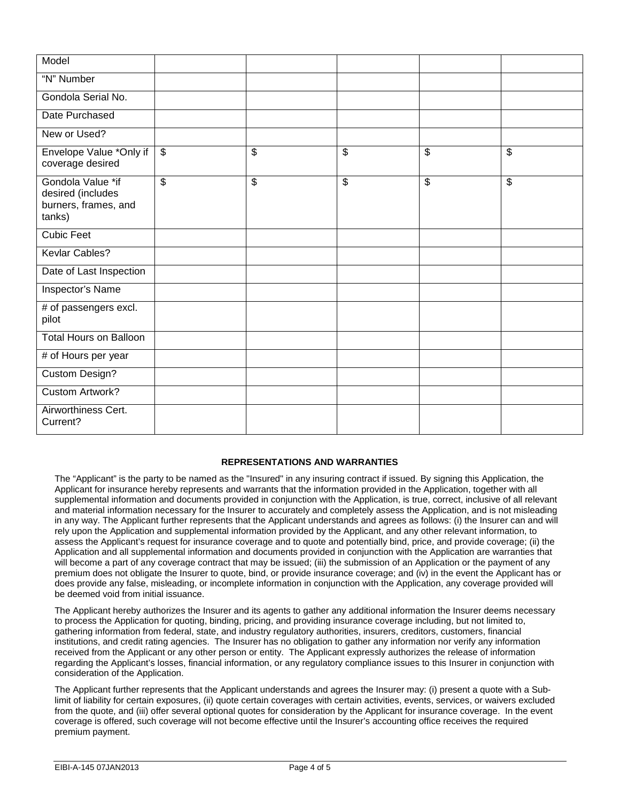| Model                                                                    |                          |                 |          |                         |
|--------------------------------------------------------------------------|--------------------------|-----------------|----------|-------------------------|
| "N" Number                                                               |                          |                 |          |                         |
| Gondola Serial No.                                                       |                          |                 |          |                         |
| Date Purchased                                                           |                          |                 |          |                         |
| New or Used?                                                             |                          |                 |          |                         |
| Envelope Value *Only if<br>coverage desired                              | $\overline{\$}$          | $\overline{\$}$ | \$<br>\$ | $\overline{\mathbf{S}}$ |
| Gondola Value *if<br>desired (includes<br>burners, frames, and<br>tanks) | $\overline{\mathcal{S}}$ | \$              | \$<br>\$ | \$                      |
| <b>Cubic Feet</b>                                                        |                          |                 |          |                         |
| Kevlar Cables?                                                           |                          |                 |          |                         |
| Date of Last Inspection                                                  |                          |                 |          |                         |
| Inspector's Name                                                         |                          |                 |          |                         |
| # of passengers excl.<br>pilot                                           |                          |                 |          |                         |
| <b>Total Hours on Balloon</b>                                            |                          |                 |          |                         |
| # of Hours per year                                                      |                          |                 |          |                         |
| Custom Design?                                                           |                          |                 |          |                         |
| <b>Custom Artwork?</b>                                                   |                          |                 |          |                         |
| Airworthiness Cert.<br>Current?                                          |                          |                 |          |                         |

## **REPRESENTATIONS AND WARRANTIES**

The "Applicant" is the party to be named as the "Insured" in any insuring contract if issued. By signing this Application, the Applicant for insurance hereby represents and warrants that the information provided in the Application, together with all supplemental information and documents provided in conjunction with the Application, is true, correct, inclusive of all relevant and material information necessary for the Insurer to accurately and completely assess the Application, and is not misleading in any way. The Applicant further represents that the Applicant understands and agrees as follows: (i) the Insurer can and will rely upon the Application and supplemental information provided by the Applicant, and any other relevant information, to assess the Applicant's request for insurance coverage and to quote and potentially bind, price, and provide coverage; (ii) the Application and all supplemental information and documents provided in conjunction with the Application are warranties that will become a part of any coverage contract that may be issued; (iii) the submission of an Application or the payment of any premium does not obligate the Insurer to quote, bind, or provide insurance coverage; and (iv) in the event the Applicant has or does provide any false, misleading, or incomplete information in conjunction with the Application, any coverage provided will be deemed void from initial issuance.

The Applicant hereby authorizes the Insurer and its agents to gather any additional information the Insurer deems necessary to process the Application for quoting, binding, pricing, and providing insurance coverage including, but not limited to, gathering information from federal, state, and industry regulatory authorities, insurers, creditors, customers, financial institutions, and credit rating agencies. The Insurer has no obligation to gather any information nor verify any information received from the Applicant or any other person or entity. The Applicant expressly authorizes the release of information regarding the Applicant's losses, financial information, or any regulatory compliance issues to this Insurer in conjunction with consideration of the Application.

The Applicant further represents that the Applicant understands and agrees the Insurer may: (i) present a quote with a Sublimit of liability for certain exposures, (ii) quote certain coverages with certain activities, events, services, or waivers excluded from the quote, and (iii) offer several optional quotes for consideration by the Applicant for insurance coverage. In the event coverage is offered, such coverage will not become effective until the Insurer's accounting office receives the required premium payment.